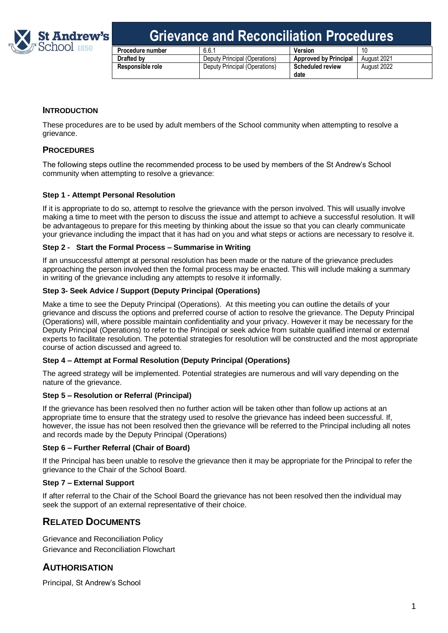

## **Grievance and Reconciliation Procedures**

| <b>Procedure number</b> | 6.6.1                         | Version                      |             |
|-------------------------|-------------------------------|------------------------------|-------------|
| Drafted by              | Deputy Principal (Operations) | <b>Approved by Principal</b> | August 2021 |
| Responsible role        | Deputy Principal (Operations) | <b>Scheduled review</b>      | August 2022 |
|                         |                               | date                         |             |

#### **INTRODUCTION**

These procedures are to be used by adult members of the School community when attempting to resolve a grievance.

#### **PROCEDURES**

The following steps outline the recommended process to be used by members of the St Andrew's School community when attempting to resolve a grievance:

#### **Step 1 - Attempt Personal Resolution**

If it is appropriate to do so, attempt to resolve the grievance with the person involved. This will usually involve making a time to meet with the person to discuss the issue and attempt to achieve a successful resolution. It will be advantageous to prepare for this meeting by thinking about the issue so that you can clearly communicate your grievance including the impact that it has had on you and what steps or actions are necessary to resolve it.

#### **Step 2 - Start the Formal Process – Summarise in Writing**

If an unsuccessful attempt at personal resolution has been made or the nature of the grievance precludes approaching the person involved then the formal process may be enacted. This will include making a summary in writing of the grievance including any attempts to resolve it informally.

#### **Step 3- Seek Advice / Support (Deputy Principal (Operations)**

Make a time to see the Deputy Principal (Operations). At this meeting you can outline the details of your grievance and discuss the options and preferred course of action to resolve the grievance. The Deputy Principal (Operations) will, where possible maintain confidentiality and your privacy. However it may be necessary for the Deputy Principal (Operations) to refer to the Principal or seek advice from suitable qualified internal or external experts to facilitate resolution. The potential strategies for resolution will be constructed and the most appropriate course of action discussed and agreed to.

#### **Step 4 – Attempt at Formal Resolution (Deputy Principal (Operations)**

The agreed strategy will be implemented. Potential strategies are numerous and will vary depending on the nature of the grievance.

#### **Step 5 – Resolution or Referral (Principal)**

If the grievance has been resolved then no further action will be taken other than follow up actions at an appropriate time to ensure that the strategy used to resolve the grievance has indeed been successful. If, however, the issue has not been resolved then the grievance will be referred to the Principal including all notes and records made by the Deputy Principal (Operations)

#### **Step 6 – Further Referral (Chair of Board)**

If the Principal has been unable to resolve the grievance then it may be appropriate for the Principal to refer the grievance to the Chair of the School Board.

#### **Step 7 – External Support**

If after referral to the Chair of the School Board the grievance has not been resolved then the individual may seek the support of an external representative of their choice.

## **RELATED DOCUMENTS**

Grievance and Reconciliation Policy Grievance and Reconciliation Flowchart

## **AUTHORISATION**

Principal, St Andrew's School